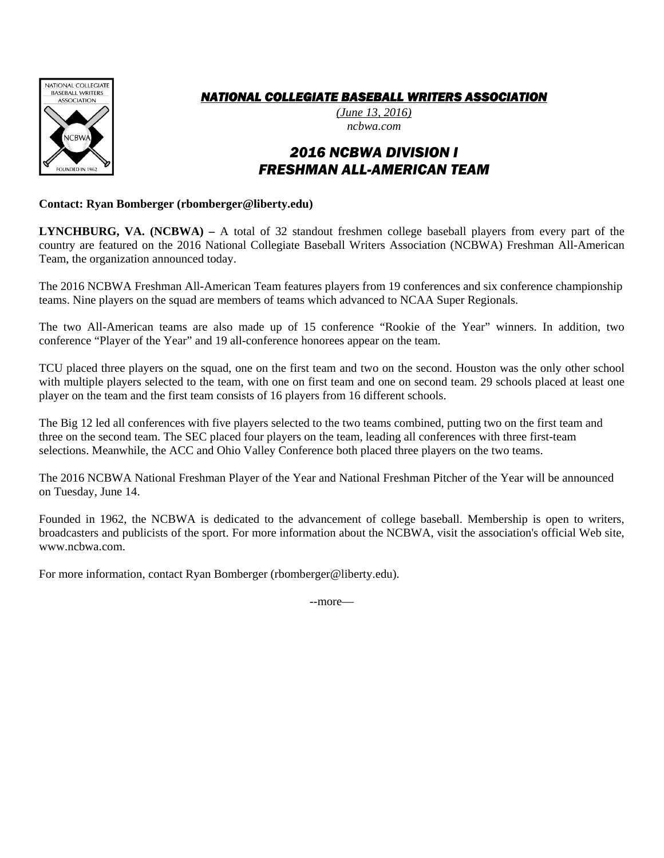

## *NATIONAL COLLEGIATE BASEBALL WRITERS ASSOCIATION*

*(June 13, 2016) ncbwa.com* 

# *2016 NCBWA DIVISION I FRESHMAN ALL-AMERICAN TEAM*

#### **Contact: Ryan Bomberger (rbomberger@liberty.edu)**

**LYNCHBURG, VA. (NCBWA) –** A total of 32 standout freshmen college baseball players from every part of the country are featured on the 2016 National Collegiate Baseball Writers Association (NCBWA) Freshman All-American Team, the organization announced today.

The 2016 NCBWA Freshman All-American Team features players from 19 conferences and six conference championship teams. Nine players on the squad are members of teams which advanced to NCAA Super Regionals.

The two All-American teams are also made up of 15 conference "Rookie of the Year" winners. In addition, two conference "Player of the Year" and 19 all-conference honorees appear on the team.

TCU placed three players on the squad, one on the first team and two on the second. Houston was the only other school with multiple players selected to the team, with one on first team and one on second team. 29 schools placed at least one player on the team and the first team consists of 16 players from 16 different schools.

The Big 12 led all conferences with five players selected to the two teams combined, putting two on the first team and three on the second team. The SEC placed four players on the team, leading all conferences with three first-team selections. Meanwhile, the ACC and Ohio Valley Conference both placed three players on the two teams.

The 2016 NCBWA National Freshman Player of the Year and National Freshman Pitcher of the Year will be announced on Tuesday, June 14.

Founded in 1962, the NCBWA is dedicated to the advancement of college baseball. Membership is open to writers, broadcasters and publicists of the sport. For more information about the NCBWA, visit the association's official Web site, www.ncbwa.com.

For more information, contact Ryan Bomberger (rbomberger@liberty.edu).

--more—